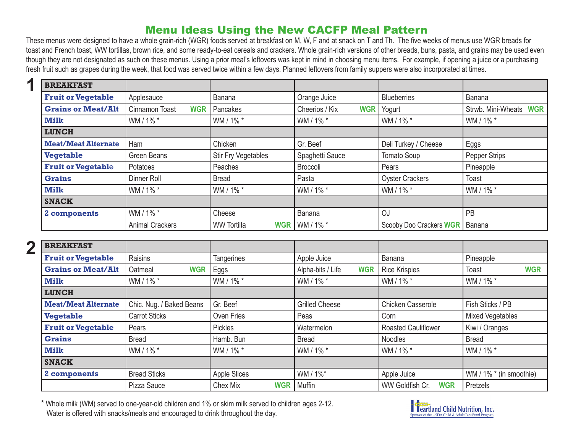## Menu Ideas Using the New CACFP Meal Pattern

These menus were designed to have a whole grain-rich (WGR) foods served at breakfast on M, W, F and at snack on T and Th. The five weeks of menus use WGR breads for toast and French toast, WW tortillas, brown rice, and some ready-to-eat cereals and crackers. Whole grain-rich versions of other breads, buns, pasta, and grains may be used even though they are not designated as such on these menus. Using a prior meal's leftovers was kept in mind in choosing menu items. For example, if opening a juice or a purchasing fresh fruit such as grapes during the week, that food was served twice within a few days. Planned leftovers from family suppers were also incorporated at times.

| <b>BREAKFAST</b>           |                              |                                  |                              |                         |                        |
|----------------------------|------------------------------|----------------------------------|------------------------------|-------------------------|------------------------|
| <b>Fruit or Vegetable</b>  | Applesauce                   | Banana                           | Orange Juice                 | <b>Blueberries</b>      | Banana                 |
| <b>Grains or Meat/Alt</b>  | Cinnamon Toast<br><b>WGR</b> | Pancakes                         | Cheerios / Kix<br><b>WGR</b> | Yogurt                  | Strwb. Mini-Wheats WGR |
| Milk                       | WM / 1% *                    | WM / 1% *                        | WM / 1% *                    | WM / 1% *               | WM / 1% *              |
| <b>LUNCH</b>               |                              |                                  |                              |                         |                        |
| <b>Meat/Meat Alternate</b> | Ham                          | Chicken                          | Gr. Beef                     | Deli Turkey / Cheese    | Eggs                   |
| <b>Vegetable</b>           | Green Beans                  | <b>Stir Fry Vegetables</b>       | Spaghetti Sauce              | Tomato Soup             | Pepper Strips          |
| <b>Fruit or Vegetable</b>  | Potatoes                     | Peaches                          | Broccoli                     | Pears                   | Pineapple              |
| <b>Grains</b>              | Dinner Roll                  | <b>Bread</b>                     | Pasta                        | <b>Oyster Crackers</b>  | Toast                  |
| Milk                       | WM / 1% *                    | WM / 1% *                        | WM / 1% *                    | WM / 1% *               | WM / 1% *              |
| <b>SNACK</b>               |                              |                                  |                              |                         |                        |
| 2 components               | WM / 1% *                    | Cheese                           | Banana                       | OJ                      | PB                     |
|                            | <b>Animal Crackers</b>       | <b>WW Tortilla</b><br><b>WGR</b> | WM / 1% *                    | Scooby Doo Crackers WGR | Banana                 |

**2**

**1**

| <b>BREAKFAST</b>           |                          |                        |                                 |                               |                            |
|----------------------------|--------------------------|------------------------|---------------------------------|-------------------------------|----------------------------|
| <b>Fruit or Vegetable</b>  | Raisins                  | <b>Tangerines</b>      | Apple Juice                     | Banana                        | Pineapple                  |
| <b>Grains or Meat/Alt</b>  | Oatmeal<br><b>WGR</b>    | Eggs                   | Alpha-bits / Life<br><b>WGR</b> | Rice Krispies                 | <b>WGR</b><br><b>Toast</b> |
| <b>Milk</b>                | WM / 1% *                | WM / 1% *              | WM / 1% *                       | WM / 1% *                     | WM / 1% *                  |
| <b>LUNCH</b>               |                          |                        |                                 |                               |                            |
| <b>Meat/Meat Alternate</b> | Chic. Nug. / Baked Beans | Gr. Beef               | <b>Grilled Cheese</b>           | Chicken Casserole             | Fish Sticks / PB           |
| <b>Vegetable</b>           | <b>Carrot Sticks</b>     | Oven Fries             | Peas                            | Corn                          | <b>Mixed Vegetables</b>    |
| <b>Fruit or Vegetable</b>  | Pears                    | <b>Pickles</b>         | Watermelon                      | <b>Roasted Cauliflower</b>    | Kiwi / Oranges             |
| <b>Grains</b>              | <b>Bread</b>             | Hamb. Bun              | <b>Bread</b>                    | Noodles                       | <b>Bread</b>               |
| <b>Milk</b>                | WM / 1% *                | WM / 1% *              | WM / 1% *                       | WM / 1% *                     | WM / 1% *                  |
| <b>SNACK</b>               |                          |                        |                                 |                               |                            |
| 2 components               | <b>Bread Sticks</b>      | <b>Apple Slices</b>    | WM / 1%*                        | Apple Juice                   | WM / 1% * (in smoothie)    |
|                            | Pizza Sauce              | Chex Mix<br><b>WGR</b> | Muffin                          | WW Goldfish Cr.<br><b>WGR</b> | Pretzels                   |

\* Whole milk (WM) served to one-year-old children and 1% or skim milk served to children ages 2-12. Water is offered with snacks/meals and encouraged to drink throughout the day.

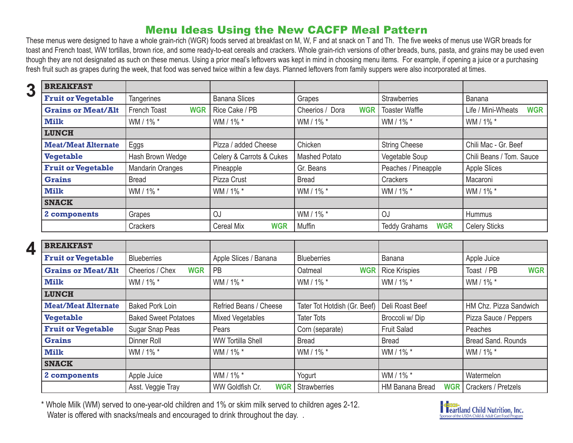## Menu Ideas Using the New CACFP Meal Pattern

These menus were designed to have a whole grain-rich (WGR) foods served at breakfast on M, W, F and at snack on T and Th. The five weeks of menus use WGR breads for toast and French toast, WW tortillas, brown rice, and some ready-to-eat cereals and crackers. Whole grain-rich versions of other breads, buns, pasta, and grains may be used even though they are not designated as such on these menus. Using a prior meal's leftovers was kept in mind in choosing menu items. For example, if opening a juice or a purchasing fresh fruit such as grapes during the week, that food was served twice within a few days. Planned leftovers from family suppers were also incorporated at times.

| 3 | <b>BREAKFAST</b>             |                            |                          |                               |                                    |                                  |
|---|------------------------------|----------------------------|--------------------------|-------------------------------|------------------------------------|----------------------------------|
|   | <b>Fruit or Vegetable</b>    | <b>Tangerines</b>          | <b>Banana Slices</b>     | Grapes                        | Strawberries                       | <b>Banana</b>                    |
|   | <b>Grains or Meat/Alt</b>    | French Toast<br><b>WGR</b> | Rice Cake / PB           | <b>WGR</b><br>Cheerios / Dora | <b>Toaster Waffle</b>              | <b>WGR</b><br>Life / Mini-Wheats |
|   | Milk                         | WM / 1% *                  | WM / 1% *                | WM / 1% *                     | WM / 1% *                          | WM / 1% *                        |
|   | <b>LUNCH</b>                 |                            |                          |                               |                                    |                                  |
|   | <b>Meat/Meat Alternate</b>   | Eggs                       | Pizza / added Cheese     | Chicken                       | <b>String Cheese</b>               | Chili Mac - Gr. Beef             |
|   | <b>Vegetable</b>             | Hash Brown Wedge           | Celery & Carrots & Cukes | <b>Mashed Potato</b>          | Vegetable Soup                     | Chili Beans / Tom. Sauce         |
|   | <b>Fruit or Vegetable</b>    | <b>Mandarin Oranges</b>    | Pineapple                | Gr. Beans                     | Peaches / Pineapple                | <b>Apple Slices</b>              |
|   | <b>Grains</b>                | <b>Bread</b>               | Pizza Crust              | <b>Bread</b>                  | Crackers                           | Macaroni                         |
|   | <b>Milk</b>                  | WM / 1% *                  | WM / 1% *                | WM / 1% *                     | WM / 1% *                          | WM / 1% *                        |
|   | <b>SNACK</b>                 |                            |                          |                               |                                    |                                  |
|   | OJ<br>Grapes<br>2 components |                            |                          | WM / 1% *                     | OJ                                 | Hummus                           |
|   |                              | Crackers                   | <b>WGR</b><br>Cereal Mix | Muffin                        | <b>WGR</b><br><b>Teddy Grahams</b> | <b>Celery Sticks</b>             |

**4**

| <b>BREAKFAST</b>           |                                      |                               |                              |                                      |                           |  |
|----------------------------|--------------------------------------|-------------------------------|------------------------------|--------------------------------------|---------------------------|--|
| <b>Fruit or Vegetable</b>  | Apple Slices / Banana<br>Blueberries |                               | <b>Blueberries</b>           | Banana                               | Apple Juice               |  |
| <b>Grains or Meat/Alt</b>  | Cheerios / Chex<br><b>WGR</b>        | PB                            | <b>WGR</b><br>Oatmeal        | <b>Rice Krispies</b>                 | Toast / PB<br><b>WGR</b>  |  |
| <b>Milk</b>                | WM / 1% *                            | WM / 1% *                     | WM / 1% *                    | WM / 1% *                            | WM / 1% *                 |  |
| <b>LUNCH</b>               |                                      |                               |                              |                                      |                           |  |
| <b>Meat/Meat Alternate</b> | <b>Baked Pork Loin</b>               | Refried Beans / Cheese        | Tater Tot Hotdish (Gr. Beef) | Deli Roast Beef                      | HM Chz. Pizza Sandwich    |  |
| <b>Vegetable</b>           | <b>Baked Sweet Potatoes</b>          | <b>Mixed Vegetables</b>       | <b>Tater Tots</b>            | Broccoli w/Dip                       | Pizza Sauce / Peppers     |  |
| <b>Fruit or Vegetable</b>  | Sugar Snap Peas                      | Pears                         | Corn (separate)              | <b>Fruit Salad</b>                   | Peaches                   |  |
| <b>Grains</b>              | Dinner Roll                          | <b>WW Tortilla Shell</b>      | <b>Bread</b>                 | <b>Bread</b>                         | <b>Bread Sand, Rounds</b> |  |
| Milk                       | WM / 1% *                            | WM / 1% *                     | WM / 1% *                    | WM / 1% *                            | WM / 1% *                 |  |
| <b>SNACK</b>               |                                      |                               |                              |                                      |                           |  |
| 2 components               | Apple Juice                          | WM / 1% *                     | Yogurt                       | WM / 1% *                            | Watermelon                |  |
|                            | Asst. Veggie Tray                    | WW Goldfish Cr.<br><b>WGR</b> | Strawberries                 | <b>HM Banana Bread</b><br><b>WGR</b> | Crackers / Pretzels       |  |

\* Whole Milk (WM) served to one-year-old children and 1% or skim milk served to children ages 2-12. Water is offered with snacks/meals and encouraged to drink throughout the day. .